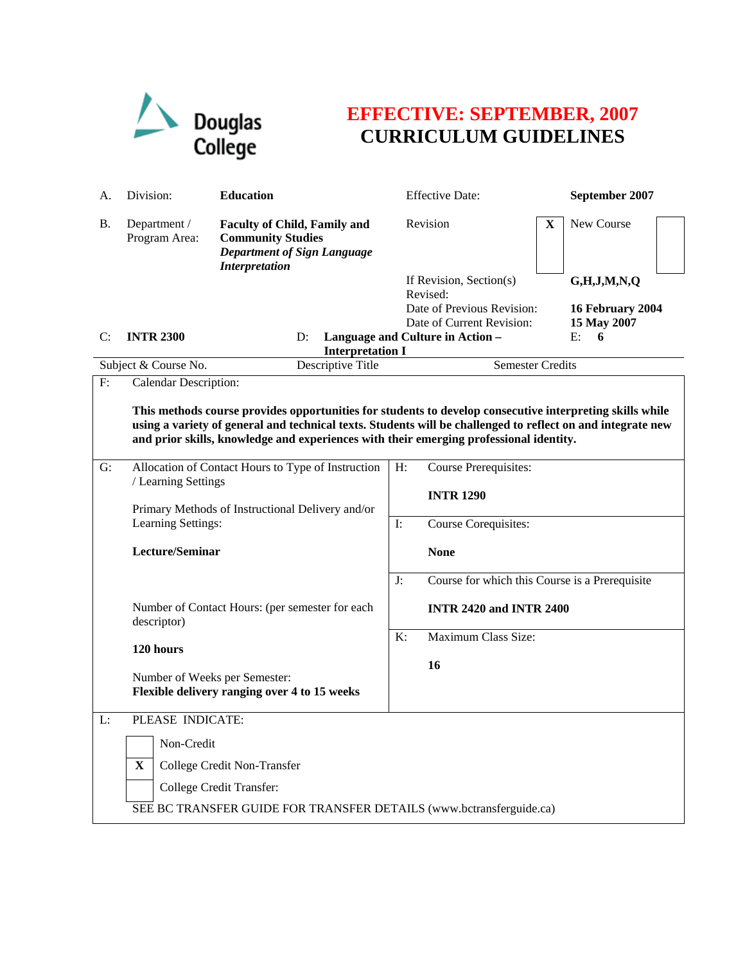

## **EFFECTIVE: SEPTEMBER, 2007 CURRICULUM GUIDELINES**

| А.                                                                                                                                                                                                                                                                                                                | Division:                                                      | <b>Education</b>                                                                                                               |                | <b>Effective Date:</b>                         |   | September 2007   |  |
|-------------------------------------------------------------------------------------------------------------------------------------------------------------------------------------------------------------------------------------------------------------------------------------------------------------------|----------------------------------------------------------------|--------------------------------------------------------------------------------------------------------------------------------|----------------|------------------------------------------------|---|------------------|--|
| В.                                                                                                                                                                                                                                                                                                                | Department /<br>Program Area:                                  | <b>Faculty of Child, Family and</b><br><b>Community Studies</b><br><b>Department of Sign Language</b><br><b>Interpretation</b> |                | Revision                                       | X | New Course       |  |
|                                                                                                                                                                                                                                                                                                                   |                                                                |                                                                                                                                |                | If Revision, Section(s)<br>Revised:            |   | G,H,J,M,N,Q      |  |
|                                                                                                                                                                                                                                                                                                                   |                                                                |                                                                                                                                |                | Date of Previous Revision:                     |   | 16 February 2004 |  |
|                                                                                                                                                                                                                                                                                                                   |                                                                |                                                                                                                                |                | Date of Current Revision:                      |   | 15 May 2007      |  |
| C:                                                                                                                                                                                                                                                                                                                | <b>INTR 2300</b>                                               | D:<br><b>Interpretation I</b>                                                                                                  |                | Language and Culture in Action -               |   | E:<br>6          |  |
|                                                                                                                                                                                                                                                                                                                   | Subject & Course No.                                           | Descriptive Title                                                                                                              |                | <b>Semester Credits</b>                        |   |                  |  |
| F:                                                                                                                                                                                                                                                                                                                | <b>Calendar Description:</b>                                   |                                                                                                                                |                |                                                |   |                  |  |
| This methods course provides opportunities for students to develop consecutive interpreting skills while<br>using a variety of general and technical texts. Students will be challenged to reflect on and integrate new<br>and prior skills, knowledge and experiences with their emerging professional identity. |                                                                |                                                                                                                                |                |                                                |   |                  |  |
| G:                                                                                                                                                                                                                                                                                                                |                                                                | Allocation of Contact Hours to Type of Instruction                                                                             | H:             | <b>Course Prerequisites:</b>                   |   |                  |  |
|                                                                                                                                                                                                                                                                                                                   | / Learning Settings                                            |                                                                                                                                |                | <b>INTR 1290</b>                               |   |                  |  |
|                                                                                                                                                                                                                                                                                                                   |                                                                | Primary Methods of Instructional Delivery and/or                                                                               |                |                                                |   |                  |  |
|                                                                                                                                                                                                                                                                                                                   | Learning Settings:                                             |                                                                                                                                | $\mathbf{I}$ : | Course Corequisites:                           |   |                  |  |
|                                                                                                                                                                                                                                                                                                                   | Lecture/Seminar                                                |                                                                                                                                |                | <b>None</b>                                    |   |                  |  |
|                                                                                                                                                                                                                                                                                                                   |                                                                |                                                                                                                                | J:             | Course for which this Course is a Prerequisite |   |                  |  |
|                                                                                                                                                                                                                                                                                                                   | Number of Contact Hours: (per semester for each<br>descriptor) |                                                                                                                                |                | <b>INTR 2420 and INTR 2400</b>                 |   |                  |  |
|                                                                                                                                                                                                                                                                                                                   |                                                                |                                                                                                                                | K:             | Maximum Class Size:                            |   |                  |  |
|                                                                                                                                                                                                                                                                                                                   | 120 hours                                                      |                                                                                                                                |                |                                                |   |                  |  |
|                                                                                                                                                                                                                                                                                                                   | Number of Weeks per Semester:                                  |                                                                                                                                |                | 16                                             |   |                  |  |
|                                                                                                                                                                                                                                                                                                                   |                                                                | Flexible delivery ranging over 4 to 15 weeks                                                                                   |                |                                                |   |                  |  |
| L:                                                                                                                                                                                                                                                                                                                | PLEASE INDICATE:                                               |                                                                                                                                |                |                                                |   |                  |  |
|                                                                                                                                                                                                                                                                                                                   |                                                                |                                                                                                                                |                |                                                |   |                  |  |
|                                                                                                                                                                                                                                                                                                                   | Non-Credit                                                     |                                                                                                                                |                |                                                |   |                  |  |
|                                                                                                                                                                                                                                                                                                                   | $\mathbf{X}$                                                   | College Credit Non-Transfer                                                                                                    |                |                                                |   |                  |  |
|                                                                                                                                                                                                                                                                                                                   |                                                                | College Credit Transfer:                                                                                                       |                |                                                |   |                  |  |
|                                                                                                                                                                                                                                                                                                                   |                                                                | SEE BC TRANSFER GUIDE FOR TRANSFER DETAILS (www.bctransferguide.ca)                                                            |                |                                                |   |                  |  |
|                                                                                                                                                                                                                                                                                                                   |                                                                |                                                                                                                                |                |                                                |   |                  |  |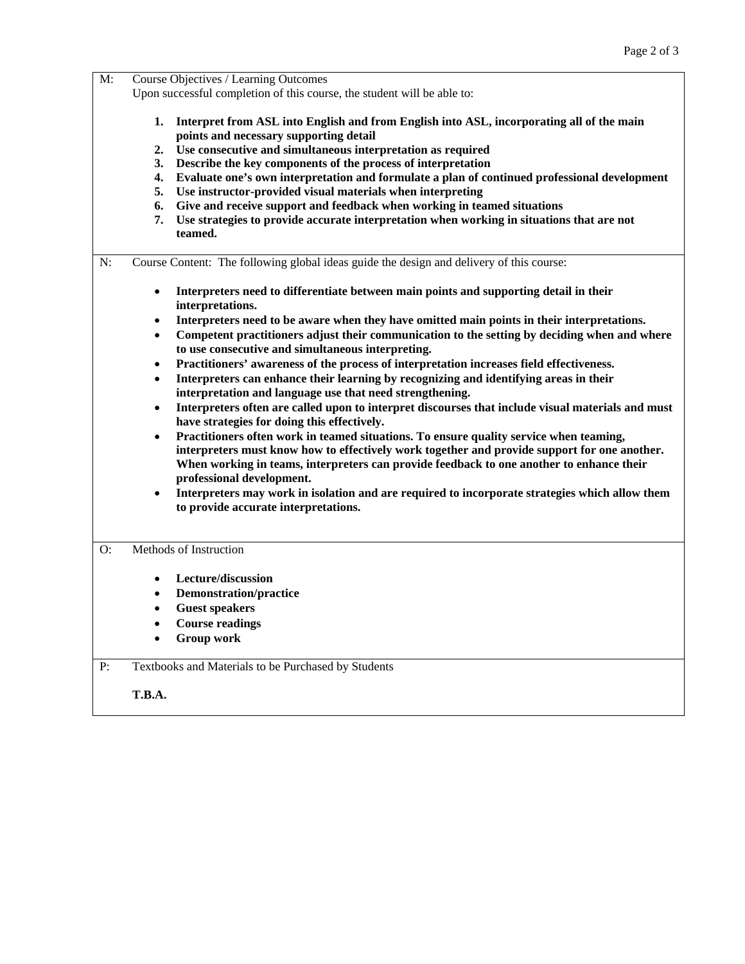| $M$ : | Course Objectives / Learning Outcomes<br>Upon successful completion of this course, the student will be able to:                                                                                                                                                                                                                                                                                                                                                                                                                                                                                                                                                                                                                                                                                                                                                                                                                                                                                                                                                                                                                                                                                                                                                                                                               |  |  |  |  |
|-------|--------------------------------------------------------------------------------------------------------------------------------------------------------------------------------------------------------------------------------------------------------------------------------------------------------------------------------------------------------------------------------------------------------------------------------------------------------------------------------------------------------------------------------------------------------------------------------------------------------------------------------------------------------------------------------------------------------------------------------------------------------------------------------------------------------------------------------------------------------------------------------------------------------------------------------------------------------------------------------------------------------------------------------------------------------------------------------------------------------------------------------------------------------------------------------------------------------------------------------------------------------------------------------------------------------------------------------|--|--|--|--|
|       |                                                                                                                                                                                                                                                                                                                                                                                                                                                                                                                                                                                                                                                                                                                                                                                                                                                                                                                                                                                                                                                                                                                                                                                                                                                                                                                                |  |  |  |  |
|       | Interpret from ASL into English and from English into ASL, incorporating all of the main<br>1.<br>points and necessary supporting detail<br>Use consecutive and simultaneous interpretation as required<br>2.<br>Describe the key components of the process of interpretation<br>3.<br>Evaluate one's own interpretation and formulate a plan of continued professional development<br>4.<br>Use instructor-provided visual materials when interpreting<br>5.<br>Give and receive support and feedback when working in teamed situations<br>6.<br>Use strategies to provide accurate interpretation when working in situations that are not<br>7.<br>teamed.                                                                                                                                                                                                                                                                                                                                                                                                                                                                                                                                                                                                                                                                   |  |  |  |  |
| N:    | Course Content: The following global ideas guide the design and delivery of this course:                                                                                                                                                                                                                                                                                                                                                                                                                                                                                                                                                                                                                                                                                                                                                                                                                                                                                                                                                                                                                                                                                                                                                                                                                                       |  |  |  |  |
|       | Interpreters need to differentiate between main points and supporting detail in their<br>$\bullet$<br>interpretations.<br>Interpreters need to be aware when they have omitted main points in their interpretations.<br>٠<br>Competent practitioners adjust their communication to the setting by deciding when and where<br>$\bullet$<br>to use consecutive and simultaneous interpreting.<br>Practitioners' awareness of the process of interpretation increases field effectiveness.<br>$\bullet$<br>Interpreters can enhance their learning by recognizing and identifying areas in their<br>$\bullet$<br>interpretation and language use that need strengthening.<br>Interpreters often are called upon to interpret discourses that include visual materials and must<br>$\bullet$<br>have strategies for doing this effectively.<br>Practitioners often work in teamed situations. To ensure quality service when teaming,<br>$\bullet$<br>interpreters must know how to effectively work together and provide support for one another.<br>When working in teams, interpreters can provide feedback to one another to enhance their<br>professional development.<br>Interpreters may work in isolation and are required to incorporate strategies which allow them<br>$\bullet$<br>to provide accurate interpretations. |  |  |  |  |
| O:    | Methods of Instruction<br>Lecture/discussion<br>$\bullet$<br><b>Demonstration/practice</b><br><b>Guest speakers</b><br><b>Course readings</b><br><b>Group work</b>                                                                                                                                                                                                                                                                                                                                                                                                                                                                                                                                                                                                                                                                                                                                                                                                                                                                                                                                                                                                                                                                                                                                                             |  |  |  |  |
|       |                                                                                                                                                                                                                                                                                                                                                                                                                                                                                                                                                                                                                                                                                                                                                                                                                                                                                                                                                                                                                                                                                                                                                                                                                                                                                                                                |  |  |  |  |
| P:    | Textbooks and Materials to be Purchased by Students                                                                                                                                                                                                                                                                                                                                                                                                                                                                                                                                                                                                                                                                                                                                                                                                                                                                                                                                                                                                                                                                                                                                                                                                                                                                            |  |  |  |  |
|       | <b>T.B.A.</b>                                                                                                                                                                                                                                                                                                                                                                                                                                                                                                                                                                                                                                                                                                                                                                                                                                                                                                                                                                                                                                                                                                                                                                                                                                                                                                                  |  |  |  |  |
|       |                                                                                                                                                                                                                                                                                                                                                                                                                                                                                                                                                                                                                                                                                                                                                                                                                                                                                                                                                                                                                                                                                                                                                                                                                                                                                                                                |  |  |  |  |